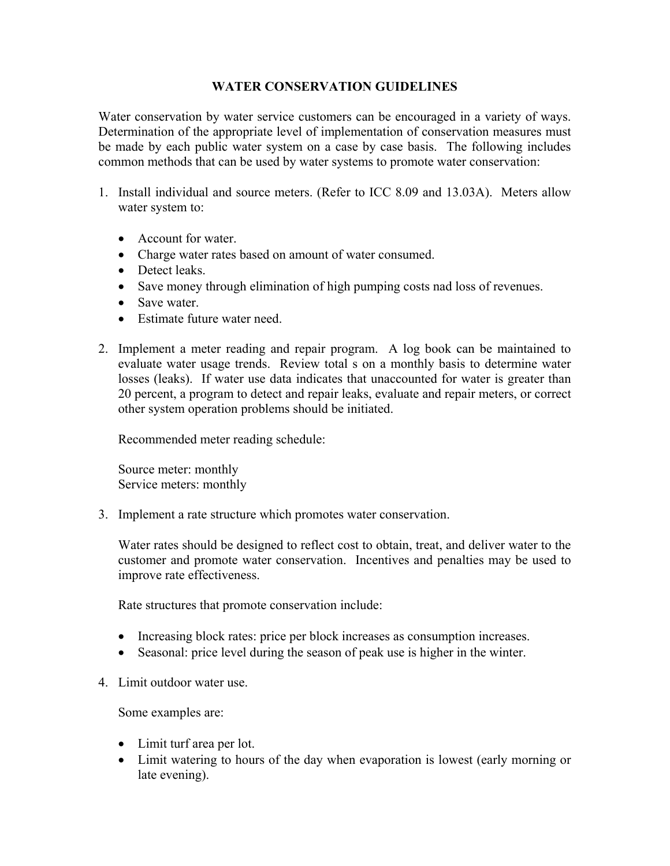## **WATER CONSERVATION GUIDELINES**

Water conservation by water service customers can be encouraged in a variety of ways. Determination of the appropriate level of implementation of conservation measures must be made by each public water system on a case by case basis. The following includes common methods that can be used by water systems to promote water conservation:

- 1. Install individual and source meters. (Refer to ICC 8.09 and 13.03A). Meters allow water system to:
	- Account for water
	- Charge water rates based on amount of water consumed.
	- Detect leaks.
	- Save money through elimination of high pumping costs nad loss of revenues.
	- Save water.
	- Estimate future water need.
- 2. Implement a meter reading and repair program. A log book can be maintained to evaluate water usage trends. Review total s on a monthly basis to determine water losses (leaks). If water use data indicates that unaccounted for water is greater than 20 percent, a program to detect and repair leaks, evaluate and repair meters, or correct other system operation problems should be initiated.

Recommended meter reading schedule:

Source meter: monthly Service meters: monthly

3. Implement a rate structure which promotes water conservation.

Water rates should be designed to reflect cost to obtain, treat, and deliver water to the customer and promote water conservation. Incentives and penalties may be used to improve rate effectiveness.

Rate structures that promote conservation include:

- Increasing block rates: price per block increases as consumption increases.
- Seasonal: price level during the season of peak use is higher in the winter.
- 4. Limit outdoor water use.

Some examples are:

- Limit turf area per lot.
- Limit watering to hours of the day when evaporation is lowest (early morning or late evening).